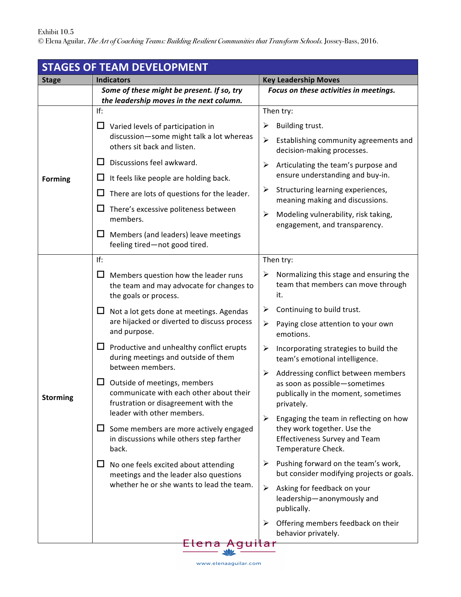| <b>STAGES OF TEAM DEVELOPMENT</b> |                                                                                                                                                                                                                                                                                                                                                                                                                                                                                                                                                                                                                                                                                                                                                                       |                                                                                                                                                                                                                                                                                                                                                                                                                                                                                                                                                                                                                                                                                                                                                                                                             |  |  |  |  |
|-----------------------------------|-----------------------------------------------------------------------------------------------------------------------------------------------------------------------------------------------------------------------------------------------------------------------------------------------------------------------------------------------------------------------------------------------------------------------------------------------------------------------------------------------------------------------------------------------------------------------------------------------------------------------------------------------------------------------------------------------------------------------------------------------------------------------|-------------------------------------------------------------------------------------------------------------------------------------------------------------------------------------------------------------------------------------------------------------------------------------------------------------------------------------------------------------------------------------------------------------------------------------------------------------------------------------------------------------------------------------------------------------------------------------------------------------------------------------------------------------------------------------------------------------------------------------------------------------------------------------------------------------|--|--|--|--|
| <b>Stage</b>                      | <b>Indicators</b>                                                                                                                                                                                                                                                                                                                                                                                                                                                                                                                                                                                                                                                                                                                                                     | <b>Key Leadership Moves</b>                                                                                                                                                                                                                                                                                                                                                                                                                                                                                                                                                                                                                                                                                                                                                                                 |  |  |  |  |
|                                   | Some of these might be present. If so, try<br>the leadership moves in the next column.                                                                                                                                                                                                                                                                                                                                                                                                                                                                                                                                                                                                                                                                                | Focus on these activities in meetings.                                                                                                                                                                                                                                                                                                                                                                                                                                                                                                                                                                                                                                                                                                                                                                      |  |  |  |  |
| <b>Forming</b>                    | If:<br>Varied levels of participation in<br>ப<br>discussion-some might talk a lot whereas<br>others sit back and listen.<br>$\Box$<br>Discussions feel awkward.<br>It feels like people are holding back.<br>There are lots of questions for the leader.<br>⊔<br>There's excessive politeness between<br>ப<br>members.<br>ப<br>Members (and leaders) leave meetings<br>feeling tired-not good tired.                                                                                                                                                                                                                                                                                                                                                                  | Then try:<br>Building trust.<br>➤<br>Establishing community agreements and<br>➤<br>decision-making processes.<br>Articulating the team's purpose and<br>➤<br>ensure understanding and buy-in.<br>➤<br>Structuring learning experiences,<br>meaning making and discussions.<br>Modeling vulnerability, risk taking,<br>➤<br>engagement, and transparency.                                                                                                                                                                                                                                                                                                                                                                                                                                                    |  |  |  |  |
| Storming                          | If:<br>Members question how the leader runs<br>ப<br>the team and may advocate for changes to<br>the goals or process.<br>⊔<br>Not a lot gets done at meetings. Agendas<br>are hijacked or diverted to discuss process<br>and purpose.<br>Productive and unhealthy conflict erupts<br>ப<br>during meetings and outside of them<br>between members.<br>⊔<br>Outside of meetings, members<br>communicate with each other about their<br>frustration or disagreement with the<br>leader with other members.<br>Ц<br>Some members are more actively engaged<br>in discussions while others step farther<br>back.<br>No one feels excited about attending<br>ப<br>meetings and the leader also questions<br>whether he or she wants to lead the team.<br><del>Aquitai</del> | Then try:<br>Normalizing this stage and ensuring the<br>➤<br>team that members can move through<br>it.<br>Continuing to build trust.<br>➤<br>➤<br>Paying close attention to your own<br>emotions.<br>Incorporating strategies to build the<br>➤<br>team's emotional intelligence.<br>Addressing conflict between members<br>➤<br>as soon as possible-sometimes<br>publically in the moment, sometimes<br>privately.<br>➤<br>Engaging the team in reflecting on how<br>they work together. Use the<br><b>Effectiveness Survey and Team</b><br>Temperature Check.<br>Pushing forward on the team's work,<br>➤<br>but consider modifying projects or goals.<br>Asking for feedback on your<br>➤<br>leadership-anonymously and<br>publically.<br>Offering members feedback on their<br>➤<br>behavior privately. |  |  |  |  |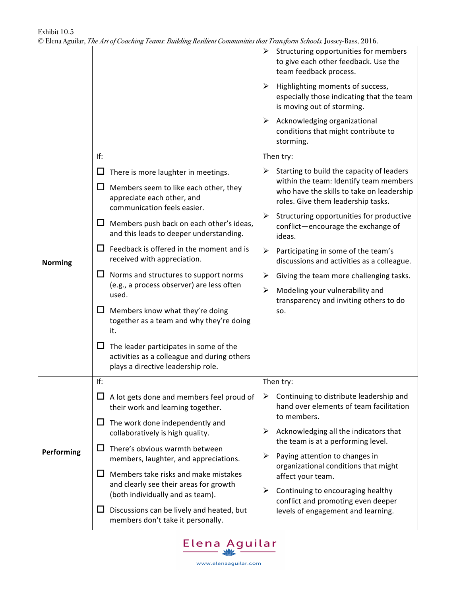Exhibit 10.5

© Elena Aguilar, *The Art of Coaching Teams: Building Resilient Communities that Transform Schools.* Jossey-Bass, 2016.

|                |        |                                                                                                                                           | $\blacktriangleright$ | Structuring opportunities for members<br>to give each other feedback. Use the<br>team feedback process.<br>Highlighting moments of success,<br>especially those indicating that the team<br>is moving out of storming. |
|----------------|--------|-------------------------------------------------------------------------------------------------------------------------------------------|-----------------------|------------------------------------------------------------------------------------------------------------------------------------------------------------------------------------------------------------------------|
|                |        |                                                                                                                                           | ➤                     | Acknowledging organizational<br>conditions that might contribute to<br>storming.                                                                                                                                       |
|                | If:    |                                                                                                                                           | Then try:             |                                                                                                                                                                                                                        |
| <b>Norming</b> | ப<br>ப | There is more laughter in meetings.<br>Members seem to like each other, they<br>appreciate each other, and<br>communication feels easier. | ➤                     | Starting to build the capacity of leaders<br>within the team: Identify team members<br>who have the skills to take on leadership<br>roles. Give them leadership tasks.                                                 |
|                | ப      | Members push back on each other's ideas,<br>and this leads to deeper understanding.                                                       | ➤                     | Structuring opportunities for productive<br>conflict-encourage the exchange of<br>ideas.                                                                                                                               |
|                | Ш      | Feedback is offered in the moment and is<br>received with appreciation.                                                                   | ➤                     | Participating in some of the team's<br>discussions and activities as a colleague.                                                                                                                                      |
|                | ப      | Norms and structures to support norms                                                                                                     | ➤                     | Giving the team more challenging tasks.                                                                                                                                                                                |
|                |        | (e.g., a process observer) are less often<br>used.                                                                                        | ➤                     | Modeling your vulnerability and<br>transparency and inviting others to do                                                                                                                                              |
|                | ப      | Members know what they're doing<br>together as a team and why they're doing<br>it.                                                        |                       | SO.                                                                                                                                                                                                                    |
|                | ப      | The leader participates in some of the<br>activities as a colleague and during others<br>plays a directive leadership role.               |                       |                                                                                                                                                                                                                        |
|                | If:    |                                                                                                                                           |                       | Then try:                                                                                                                                                                                                              |
| Performing     | ப      | A lot gets done and members feel proud of<br>their work and learning together.                                                            | ➤                     | Continuing to distribute leadership and<br>hand over elements of team facilitation<br>to members.                                                                                                                      |
|                | ப      | The work done independently and<br>collaboratively is high quality.                                                                       | ➤                     | Acknowledging all the indicators that<br>the team is at a performing level.                                                                                                                                            |
|                | LI     | There's obvious warmth between<br>members, laughter, and appreciations.                                                                   | ➤                     | Paying attention to changes in<br>organizational conditions that might                                                                                                                                                 |
|                | ப      | Members take risks and make mistakes<br>and clearly see their areas for growth                                                            | ➤                     | affect your team.<br>Continuing to encouraging healthy                                                                                                                                                                 |
|                | ப      | (both individually and as team).<br>Discussions can be lively and heated, but<br>members don't take it personally.                        |                       | conflict and promoting even deeper<br>levels of engagement and learning.                                                                                                                                               |



www.elenaaguilar.com